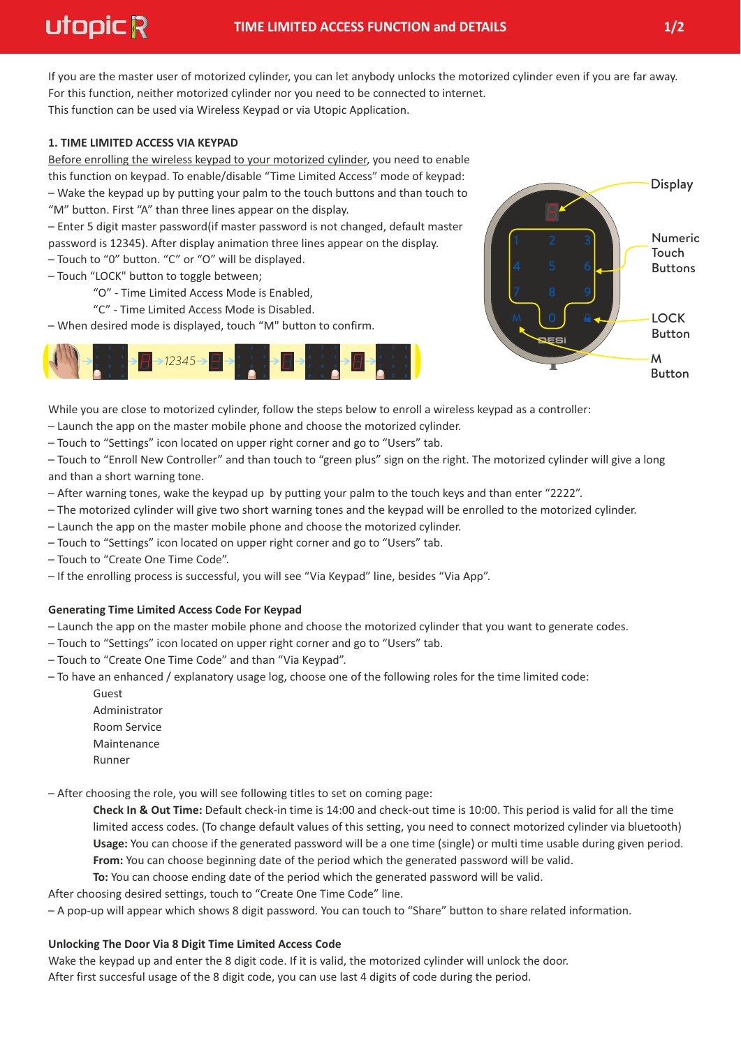This function can be used via Wireless Keypad or via Utopic Application. If you are the master user of motorized cylinder, you can let anybody unlocks the motorized cylinder even if you are far away. For this function, neither motorized cylinder nor you need to be connected to internet.

# **1. TIME LIMITED ACCESS VIA KEYPAD**

Before enrolling the wireless keypad to your motorized cylinder, you need to enable this function on keypad. To enable/disable "Time Limited Access" mode of keypad: – Wake the keypad up by putting your palm to the touch buttons and than touch to "M" button. First "A" than three lines appear on the display.

– Enter 5 digit master password(if master password is not changed, default master password is 12345). After display animation three lines appear on the display.

- Touch to "0" button. "C" or "O" will be displayed.
- Touch "LOCK" button to toggle between;
	- "O" Time Limited Access Mode is Enabled,
	- "C" Time Limited Access Mode is Disabled.
- When desired mode is displayed, touch "M" button to confirm.





While you are close to motorized cylinder, follow the steps below to enroll a wireless keypad as a controller:

– Launch the app on the master mobile phone and choose the motorized cylinder.

– Touch to "Settings" icon located on upper right corner and go to "Users" tab.

– Touch to "Enroll New Controller" and than touch to "green plus" sign on the right. The motorized cylinder will give a long and than a short warning tone.

- After warning tones, wake the keypad up by putting your palm to the touch keys and than enter "2222".
- The motorized cylinder will give two short warning tones and the keypad will be enrolled to the motorized cylinder.
- Launch the app on the master mobile phone and choose the motorized cylinder.
- Touch to "Settings" icon located on upper right corner and go to "Users" tab.
- Touch to "Create One Time Code".
- If the enrolling process is successful, you will see "Via Keypad" line, besides "Via App".

# **Generating Time Limited Access Code For Keypad**

- Launch the app on the master mobile phone and choose the motorized cylinder that you want to generate codes.
- Touch to "Settings" icon located on upper right corner and go to "Users" tab.
- Touch to "Create One Time Code" and than "Via Keypad".
- To have an enhanced / explanatory usage log, choose one of the following roles for the time limited code:
	- Guest Room Service Maintenance Runner Administrator

– After choosing the role, you will see following titles to set on coming page:

**Check In & Out Time:** Default check-in time is 14:00 and check-out time is 10:00. This period is valid for all the time limited access codes. (To change default values of this setting, you need to connect motorized cylinder via bluetooth) **Usage:** You can choose if the generated password will be a one time (single) or multi time usable during given period. **From:** You can choose beginning date of the period which the generated password will be valid.

**To:** You can choose ending date of the period which the generated password will be valid.

After choosing desired settings, touch to "Create One Time Code" line.

– A pop-up will appear which shows 8 digit password. You can touch to "Share" button to share related information.

# **Unlocking The Door Via 8 Digit Time Limited Access Code**

Wake the keypad up and enter the 8 digit code. If it is valid, the motorized cylinder will unlock the door. After first succesful usage of the 8 digit code, you can use last 4 digits of code during the period.